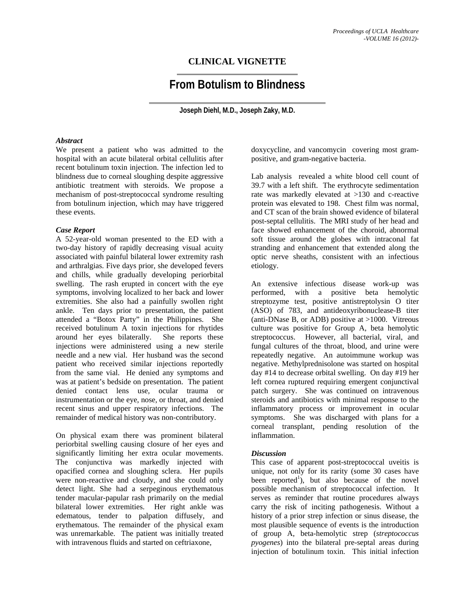# **CLINICAL VIGNETTE**

# **From Botulism to Blindness**

**Joseph Diehl, M.D., Joseph Zaky, M.D.** 

### *Abstract*

We present a patient who was admitted to the hospital with an acute bilateral orbital cellulitis after recent botulinum toxin injection. The infection led to blindness due to corneal sloughing despite aggressive antibiotic treatment with steroids. We propose a mechanism of post-streptococcal syndrome resulting from botulinum injection, which may have triggered these events.

## *Case Report*

A 52-year-old woman presented to the ED with a two-day history of rapidly decreasing visual acuity associated with painful bilateral lower extremity rash and arthralgias. Five days prior, she developed fevers and chills, while gradually developing periorbital swelling. The rash erupted in concert with the eye symptoms, involving localized to her back and lower extremities. She also had a painfully swollen right ankle. Ten days prior to presentation, the patient attended a "Botox Party" in the Philippines. She received botulinum A toxin injections for rhytides around her eyes bilaterally. She reports these injections were administered using a new sterile needle and a new vial. Her husband was the second patient who received similar injections reportedly from the same vial. He denied any symptoms and was at patient's bedside on presentation. The patient denied contact lens use, ocular trauma or instrumentation or the eye, nose, or throat, and denied recent sinus and upper respiratory infections. The remainder of medical history was non-contributory.

On physical exam there was prominent bilateral periorbital swelling causing closure of her eyes and significantly limiting her extra ocular movements. The conjunctiva was markedly injected with opacified cornea and sloughing sclera. Her pupils were non-reactive and cloudy, and she could only detect light. She had a serpeginous erythematous tender macular-papular rash primarily on the medial bilateral lower extremities. Her right ankle was edematous, tender to palpation diffusely, and erythematous. The remainder of the physical exam was unremarkable. The patient was initially treated with intravenous fluids and started on ceftriaxone.

doxycycline, and vancomycin covering most grampositive, and gram-negative bacteria.

Lab analysis revealed a white blood cell count of 39.7 with a left shift. The erythrocyte sedimentation rate was markedly elevated at >130 and c-reactive protein was elevated to 198. Chest film was normal, and CT scan of the brain showed evidence of bilateral post-septal cellulitis. The MRI study of her head and face showed enhancement of the choroid, abnormal soft tissue around the globes with intraconal fat stranding and enhancement that extended along the optic nerve sheaths, consistent with an infectious etiology.

An extensive infectious disease work-up was performed, with a positive beta hemolytic streptozyme test, positive antistreptolysin O titer (ASO) of 783, and antideoxyribonuclease-B titer (anti-DNase B, or ADB) positive at  $>1000$ . Vitreous culture was positive for Group A, beta hemolytic streptococcus. However, all bacterial, viral, and fungal cultures of the throat, blood, and urine were repeatedly negative. An autoimmune workup was negative. Methylprednisolone was started on hospital day #14 to decrease orbital swelling. On day #19 her left cornea ruptured requiring emergent conjunctival patch surgery. She was continued on intravenous steroids and antibiotics with minimal response to the inflammatory process or improvement in ocular symptoms. She was discharged with plans for a corneal transplant, pending resolution of the inflammation.

#### *Discussion*

This case of apparent post-streptococcal uveitis is unique, not only for its rarity (some 30 cases have been reported<sup>1</sup>), but also because of the novel possible mechanism of streptococcal infection. It serves as reminder that routine procedures always carry the risk of inciting pathogenesis. Without a history of a prior strep infection or sinus disease, the most plausible sequence of events is the introduction of group A, beta-hemolytic strep (*streptococcus pyogenes*) into the bilateral pre-septal areas during injection of botulinum toxin. This initial infection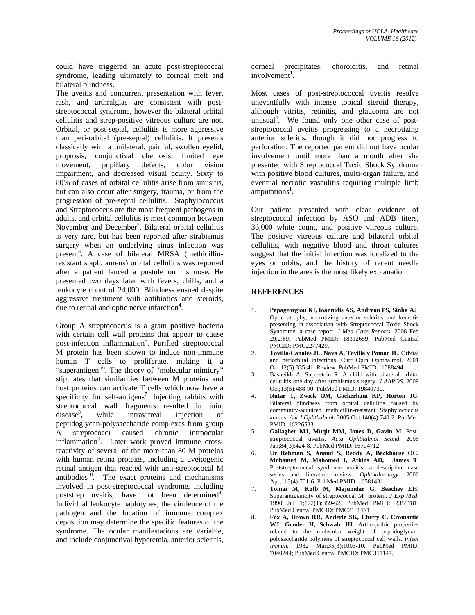could have triggered an acute post-streptococcal syndrome, leading ultimately to corneal melt and bilateral blindness.

The uveitis and concurrent presentation with fever, rash, and arthralgias are consistent with poststreptococcal syndrome, however the bilateral orbital cellulitis and strep-positive vitreous culture are not. Orbital, or post-septal, cellulitis is more aggressive than peri-orbital (pre-septal) cellulitis. It presents classically with a unilateral, painful, swollen eyelid, proptosis, conjunctival chemosis, limited eye movement, pupillary defects, color vision impairment, and decreased visual acuity. Sixty to 80% of cases of orbital cellulitis arise from sinusitis, but can also occur after surgery, trauma, or from the progression of pre-septal cellulitis. Staphylococcus and Streptococcus are the most frequent pathogens in adults, and orbital cellulitis is most common between November and December<sup>2</sup>. Bilateral orbital cellulitis is very rare, but has been reported after strabismus surgery when an underlying sinus infection was present<sup>3</sup>. A case of bilateral MRSA (methicillinresistant staph. aureus) orbital cellulitis was reported after a patient lanced a pustule on his nose. He presented two days later with fevers, chills, and a leukocyte count of 24,000. Blindness ensued despite aggressive treatment with antibiotics and steroids, due to retinal and optic nerve infarction**<sup>4</sup>** .

Group A streptococcus is a gram positive bacteria with certain cell wall proteins that appear to cause post-infection inflammation<sup>5</sup>. Purified streptococcal M protein has been shown to induce non-immune human T cells to proliferate, making it a "superantigen"<sup>6</sup>. The theory of "molecular mimicry" stipulates that similarities between M proteins and host proteins can activate T cells which now have a specificity for self-antigens<sup>7</sup>. Injecting rabbits with streptococcal wall fragments resulted in joint  $disease<sup>8</sup>$ , while intravitreal injection of peptidoglycan-polysaccharide complexes from group A streptococci caused chronic intraocular inflammation<sup>9</sup>. Later work proved immune crossreactivity of several of the more than 80 M proteins with human retina proteins, including a uveitogenic retinal antigen that reacted with anti-streptococal M antibodies $10$ . The exact proteins and mechanisms involved in post-streptococcal syndrome, including poststrep uveitis, have not been determined $\mathbf{A}^{\mathcal{I}}$ . Individual leukocyte haplotypes, the virulence of the pathogen and the location of immune complex deposition may determine the specific features of the syndrome. The ocular manifestations are variable, and include conjunctival hyperemia, anterior scleritis,

corneal precipitates, choroiditis, and retinal  $involvement<sup>1</sup>$ .

Most cases of post-streptococcal uveitis resolve uneventfully with intense topical steroid therapy, although vitritis, retinitis, and glaucoma are not unusual<sup>4</sup>. We found only one other case of poststreptococcal uveitis progressing to a necrotizing anterior scleritis, though it did not progress to perforation. The reported patient did not have ocular involvement until more than a month after she presented with Streptococcal Toxic Shock Syndrome with positive blood cultures, multi-organ failure, and eventual necrotic vasculitis requiring multiple limb amputations<sup>1</sup>.

Our patient presented with clear evidence of streptococcal infection by ASO and ADB titers, 36,000 white count, and positive vitreous culture. The positive vitreous culture and bilateral orbital cellulitis, with negative blood and throat cultures suggest that the initial infection was localized to the eyes or orbits, and the history of recent needle injection in the area is the most likely explanation.

#### **REFERENCES**

- 1. **Papageorgiou KI, Ioannidis AS, Andreou PS, Sinha AJ**. Optic atrophy, necrotizing anterior scleritis and keratitis presenting in association with Streptococcal Toxic Shock Syndrome: a case report. *J Med Case Reports*. 2008 Feb 29;2:69. PubMed PMID: 18312659; PubMed Central PMCID: PMC2277429.
- 2. **Tovilla-Canales JL, Nava A, Tovilla y Pomar JL**. Orbital and periorbital infections. Curr Opin Ophthalmol. 2001 Oct;12(5):335-41. Review. PubMed PMID:11588494.
- 3. Basheikh A, Superstein R. A child with bilateral orbital cellulitis one day after strabismus surgery. *J AAPOS*. 2009 Oct;13(5):488-90. PubMed PMID: 19840730.
- 4. **Rutar T, Zwick OM, Cockerham KP, Horton JC**. Bilateral blindness from orbital cellulitis caused by community-acquired methicillin-resistant Staphylococcus aureus. *Am J Ophthalmol*. 2005 Oct;140(4):740-2. PubMed PMID: 16226533.
- 5. **Gallagher MJ, Muqit MM, Jones D, Gavin M**. Poststreptococcal uveitis. *Acta Ophthalmol Scand*. 2006 Jun;84(3):424-8. PubMed PMID: 16704712.
- 6. **Ur Rehman S, Anand S, Reddy A, Backhouse OC, Mohamed M, Mahomed I, Atkins AD, James T**. Poststreptococcal syndrome uveitis: a descriptive case series and literature review. *Ophthalmology*. 2006 Apr;113(4):701-6. PubMed PMID: 16581431.
- 7. **Tomai M, Kotb M, Majumdar G, Beachey EH**. Superantigenicity of streptococcal M protein. *J Exp Med*. 1990 Jul 1;172(1):359-62. PubMed PMID: 2358781; PubMed Central PMCID: PMC2188171.
- 8. **Fox A, Brown RR, Anderle SK, Chetty C, Cromartie WJ, Gooder H, Schwab JH**. Arthropathic properties related to the molecular weight of peptidoglycanpolysaccharide polymers of streptococcal cell walls. *Infect Immun*. 1982 Mar;35(3):1003-10. PubMed PMID: 7040244; PubMed Central PMCID: PMC351147.